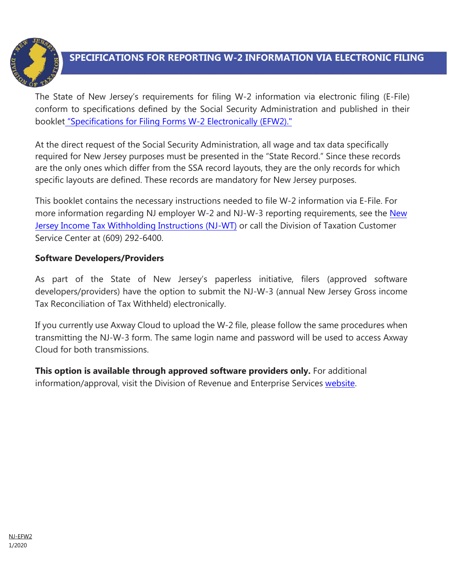

# **SPECIFICATIONS FOR REPORTING W-2 INFORMATION VIA ELECTRONIC FILING**

The State of New Jersey's requirements for filing W-2 information via electronic filing (E-File) conform to specifications defined by the Social Security Administration and published in their bookle[t "Specifications for](https://www.ssa.gov/employer/efw/19efw2.pdf) Filing Forms W-2 Electronically (EFW2)."

At the direct request of the Social Security Administration, all wage and tax data specifically required for New Jersey purposes must be presented in the "State Record." Since these records are the only ones which differ from the SSA record layouts, they are the only records for which specific layouts are defined. These records are mandatory for New Jersey purposes.

This booklet contains the necessary instructions needed to file W-2 information via E-File. For more information regarding NJ employer W-2 and NJ-W-3 reporting requirements, see the New Jersey Income [Tax Withholding Instructions \(NJ-WT\)](https://www.state.nj.us/treasury/taxation/pdf/current/njwt.pdf) or call the Division of Taxation Customer Service Center at (609) 292-6400.

### **Software Developers/Providers**

As part of the State of New Jersey's paperless initiative, filers (approved software developers/providers) have the option to submit the NJ-W-3 (annual New Jersey Gross income Tax Reconciliation of Tax Withheld) electronically.

If you currently use Axway Cloud to upload the W-2 file, please follow the same procedures when transmitting the NJ-W-3 form. The same login name and password will be used to access Axway Cloud for both transmissions.

**This option is available through approved software providers only.** For additional information/approval, visit the Division of Revenue and Enterprise Services [website.](http://www.state.nj.us/treasury/revenue/swdev.shtml)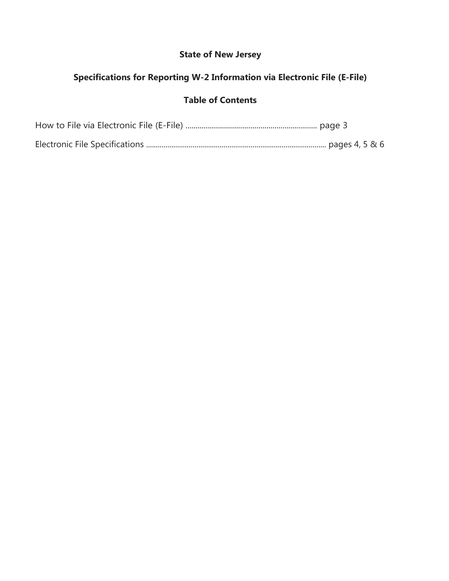## **State of New Jersey**

## **Specifications for Reporting W-2 Information via Electronic File (E-File)**

### **Table of Contents**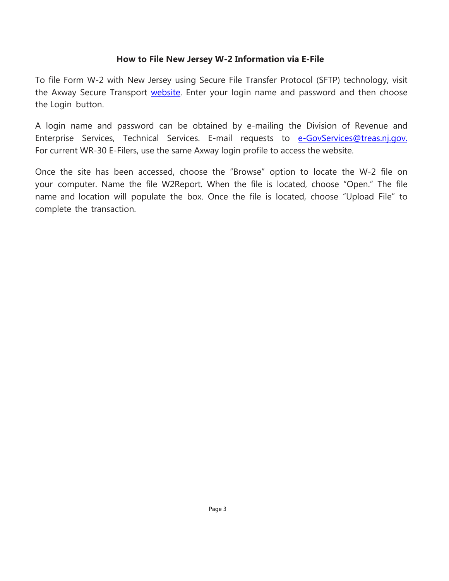### **How to File New Jersey W-2 Information via E-File**

To file Form W-2 with New Jersey using Secure File Transfer Protocol (SFTP) technology, visit the Axway Secure Transport [website.](https://mft-sonj.axwaycloud.com/) Enter your login name and password and then choose the Login button.

A login name and password can be obtained by e-mailing the Division of Revenue and Enterprise Services, Technical Services. E-mail requests to [e-GovServices@treas.nj.gov](mailto:e-GovServices@treas.nj.gov). For current WR-30 E-Filers, use the same Axway login profile to access the website.

Once the site has been accessed, choose the "Browse" option to locate the W-2 file on your computer. Name the file W2Report. When the file is located, choose "Open." The file name and location will populate the box. Once the file is located, choose "Upload File" to complete the transaction.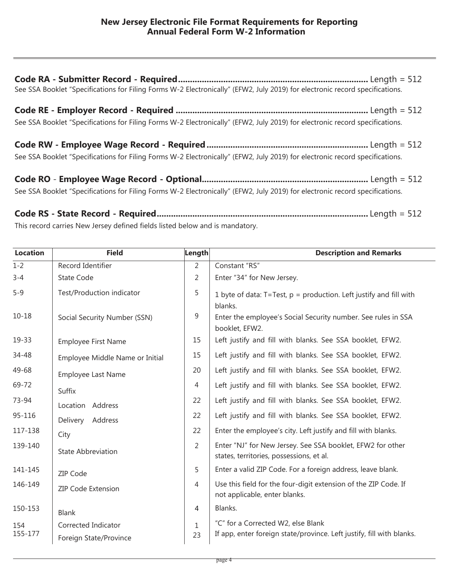| See SSA Booklet "Specifications for Filing Forms W-2 Electronically" (EFW2, July 2019) for electronic record specifications. |  |  |  |  |  |
|------------------------------------------------------------------------------------------------------------------------------|--|--|--|--|--|
| See SSA Booklet "Specifications for Filing Forms W-2 Electronically" (EFW2, July 2019) for electronic record specifications. |  |  |  |  |  |
| See SSA Booklet "Specifications for Filing Forms W-2 Electronically" (EFW2, July 2019) for electronic record specifications. |  |  |  |  |  |
| See SSA Booklet "Specifications for Filing Forms W-2 Electronically" (EFW2, July 2019) for electronic record specifications. |  |  |  |  |  |

**Code RS - State Record - Required.........................................................................................** Length = 512 This record carries New Jersey defined fields listed below and is mandatory.

| <b>Location</b> | <b>Field</b>                    | Length         | <b>Description and Remarks</b>                                                                         |
|-----------------|---------------------------------|----------------|--------------------------------------------------------------------------------------------------------|
| $1 - 2$         | Record Identifier               | 2              | Constant "RS"                                                                                          |
| $3 - 4$         | <b>State Code</b>               | 2              | Enter "34" for New Jersey.                                                                             |
| $5 - 9$         | Test/Production indicator       | 5              | 1 byte of data: $T = Test$ , $p = production$ . Left justify and fill with<br>blanks.                  |
| $10 - 18$       | Social Security Number (SSN)    | $\overline{9}$ | Enter the employee's Social Security number. See rules in SSA<br>booklet, EFW2.                        |
| 19-33           | <b>Employee First Name</b>      | 15             | Left justify and fill with blanks. See SSA booklet, EFW2.                                              |
| 34-48           | Employee Middle Name or Initial | 15             | Left justify and fill with blanks. See SSA booklet, EFW2.                                              |
| 49-68           | <b>Employee Last Name</b>       | 20             | Left justify and fill with blanks. See SSA booklet, EFW2.                                              |
| 69-72           | Suffix                          | 4              | Left justify and fill with blanks. See SSA booklet, EFW2.                                              |
| 73-94           | Location Address                | 22             | Left justify and fill with blanks. See SSA booklet, EFW2.                                              |
| 95-116          | Address<br>Delivery             | 22             | Left justify and fill with blanks. See SSA booklet, EFW2.                                              |
| 117-138         | City                            | 22             | Enter the employee's city. Left justify and fill with blanks.                                          |
| 139-140         | <b>State Abbreviation</b>       | 2              | Enter "NJ" for New Jersey. See SSA booklet, EFW2 for other<br>states, territories, possessions, et al. |
| 141-145         | <b>ZIP Code</b>                 | 5              | Enter a valid ZIP Code. For a foreign address, leave blank.                                            |
| 146-149         | <b>ZIP Code Extension</b>       | 4              | Use this field for the four-digit extension of the ZIP Code. If<br>not applicable, enter blanks.       |
| 150-153         | Blank                           | 4              | Blanks.                                                                                                |
| 154             | Corrected Indicator             | $\mathbf{1}$   | "C" for a Corrected W2, else Blank                                                                     |
| 155-177         | Foreign State/Province          | 23             | If app, enter foreign state/province. Left justify, fill with blanks.                                  |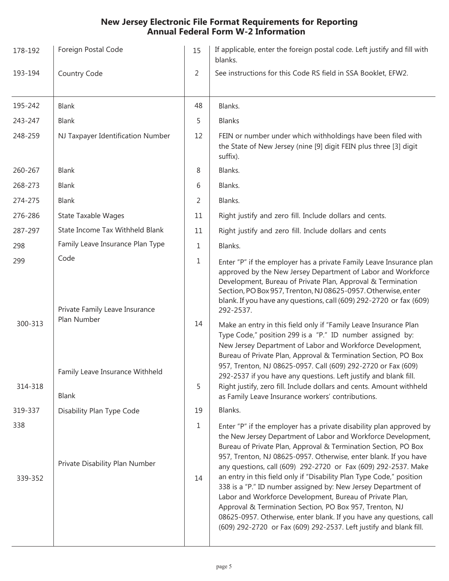### **New Jersey Electronic File Format Requirements for Reporting Annual Federal Form W-2 Information**

| 178-192        | Foreign Postal Code                                   | 15                 | If applicable, enter the foreign postal code. Left justify and fill with<br>blanks.                                                                                                                                                                                                                                                                                                                                                                                                                                                                                                                                                                                                                                                                       |
|----------------|-------------------------------------------------------|--------------------|-----------------------------------------------------------------------------------------------------------------------------------------------------------------------------------------------------------------------------------------------------------------------------------------------------------------------------------------------------------------------------------------------------------------------------------------------------------------------------------------------------------------------------------------------------------------------------------------------------------------------------------------------------------------------------------------------------------------------------------------------------------|
| 193-194        | Country Code                                          | 2                  | See instructions for this Code RS field in SSA Booklet, EFW2.                                                                                                                                                                                                                                                                                                                                                                                                                                                                                                                                                                                                                                                                                             |
| 195-242        | Blank                                                 | 48                 | Blanks.                                                                                                                                                                                                                                                                                                                                                                                                                                                                                                                                                                                                                                                                                                                                                   |
| 243-247        | Blank                                                 | 5                  | <b>Blanks</b>                                                                                                                                                                                                                                                                                                                                                                                                                                                                                                                                                                                                                                                                                                                                             |
| 248-259        | NJ Taxpayer Identification Number                     | 12                 | FEIN or number under which withholdings have been filed with<br>the State of New Jersey (nine [9] digit FEIN plus three [3] digit<br>suffix).                                                                                                                                                                                                                                                                                                                                                                                                                                                                                                                                                                                                             |
| 260-267        | Blank                                                 | 8                  | Blanks.                                                                                                                                                                                                                                                                                                                                                                                                                                                                                                                                                                                                                                                                                                                                                   |
| 268-273        | Blank                                                 | 6                  | Blanks.                                                                                                                                                                                                                                                                                                                                                                                                                                                                                                                                                                                                                                                                                                                                                   |
| 274-275        | Blank                                                 | 2                  | Blanks.                                                                                                                                                                                                                                                                                                                                                                                                                                                                                                                                                                                                                                                                                                                                                   |
| 276-286        | <b>State Taxable Wages</b>                            | 11                 | Right justify and zero fill. Include dollars and cents.                                                                                                                                                                                                                                                                                                                                                                                                                                                                                                                                                                                                                                                                                                   |
| 287-297        | State Income Tax Withheld Blank                       | 11                 | Right justify and zero fill. Include dollars and cents                                                                                                                                                                                                                                                                                                                                                                                                                                                                                                                                                                                                                                                                                                    |
| 298            | Family Leave Insurance Plan Type                      | $\mathbf{1}$       | Blanks.                                                                                                                                                                                                                                                                                                                                                                                                                                                                                                                                                                                                                                                                                                                                                   |
| 299<br>300-313 | Code<br>Private Family Leave Insurance<br>Plan Number | 1<br>14            | Enter "P" if the employer has a private Family Leave Insurance plan<br>approved by the New Jersey Department of Labor and Workforce<br>Development, Bureau of Private Plan, Approval & Termination<br>Section, PO Box 957, Trenton, NJ 08625-0957. Otherwise, enter<br>blank. If you have any questions, call (609) 292-2720 or fax (609)<br>292-2537.<br>Make an entry in this field only if "Family Leave Insurance Plan                                                                                                                                                                                                                                                                                                                                |
| 314-318        | Family Leave Insurance Withheld<br><b>Blank</b>       | 5                  | Type Code," position 299 is a "P." ID number assigned by:<br>New Jersey Department of Labor and Workforce Development,<br>Bureau of Private Plan, Approval & Termination Section, PO Box<br>957, Trenton, NJ 08625-0957. Call (609) 292-2720 or Fax (609)<br>292-2537 if you have any questions. Left justify and blank fill.<br>Right justify, zero fill. Include dollars and cents. Amount withheld<br>as Family Leave Insurance workers' contributions.                                                                                                                                                                                                                                                                                                |
| 319-337        | Disability Plan Type Code                             | 19                 | Blanks.                                                                                                                                                                                                                                                                                                                                                                                                                                                                                                                                                                                                                                                                                                                                                   |
| 338<br>339-352 | Private Disability Plan Number                        | $\mathbf{1}$<br>14 | Enter "P" if the employer has a private disability plan approved by<br>the New Jersey Department of Labor and Workforce Development,<br>Bureau of Private Plan, Approval & Termination Section, PO Box<br>957, Trenton, NJ 08625-0957. Otherwise, enter blank. If you have<br>any questions, call (609) 292-2720 or Fax (609) 292-2537. Make<br>an entry in this field only if "Disability Plan Type Code," position<br>338 is a "P." ID number assigned by: New Jersey Department of<br>Labor and Workforce Development, Bureau of Private Plan,<br>Approval & Termination Section, PO Box 957, Trenton, NJ<br>08625-0957. Otherwise, enter blank. If you have any questions, call<br>(609) 292-2720 or Fax (609) 292-2537. Left justify and blank fill. |
|                |                                                       |                    |                                                                                                                                                                                                                                                                                                                                                                                                                                                                                                                                                                                                                                                                                                                                                           |